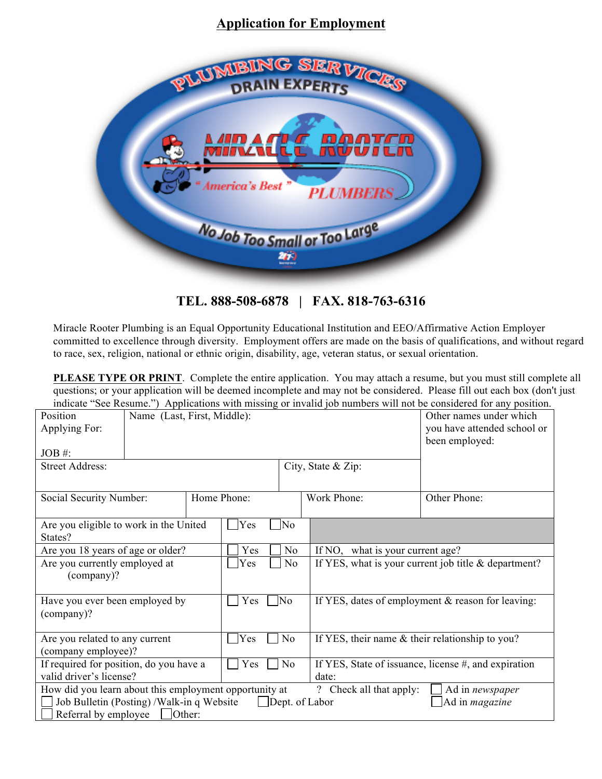## **Application for Employment**



**TEL. 888-508-6878 | FAX. 818-763-6316**

Miracle Rooter Plumbing is an Equal Opportunity Educational Institution and EEO/Affirmative Action Employer committed to excellence through diversity. Employment offers are made on the basis of qualifications, and without regard to race, sex, religion, national or ethnic origin, disability, age, veteran status, or sexual orientation.

**PLEASE TYPE OR PRINT**. Complete the entire application. You may attach a resume, but you must still complete all questions; or your application will be deemed incomplete and may not be considered. Please fill out each box (don't just indicate "See Resume.") Applications with missing or invalid job numbers will not be considered for any position.

| marcate See Kesume. The prications with missing of invanta for numbers will not be considered for any position.<br>Name (Last, First, Middle):<br>Position<br>Applying For:<br>$JOB \#$ :<br><b>Street Address:</b><br>City, State & Zip:     |  |                       |                                                                     | Other names under which<br>you have attended school or<br>been employed: |                                                      |              |
|-----------------------------------------------------------------------------------------------------------------------------------------------------------------------------------------------------------------------------------------------|--|-----------------------|---------------------------------------------------------------------|--------------------------------------------------------------------------|------------------------------------------------------|--------------|
| Social Security Number:                                                                                                                                                                                                                       |  | Home Phone:           |                                                                     |                                                                          | Work Phone:                                          | Other Phone: |
| Are you eligible to work in the United<br>States?                                                                                                                                                                                             |  |                       | Yes                                                                 | No                                                                       |                                                      |              |
| Are you 18 years of age or older?                                                                                                                                                                                                             |  | Yes                   | N <sub>0</sub>                                                      | If NO, what is your current age?                                         |                                                      |              |
| Are you currently employed at<br>(company)?                                                                                                                                                                                                   |  | Yes                   | N <sub>o</sub>                                                      | If YES, what is your current job title $\&$ department?                  |                                                      |              |
| Have you ever been employed by<br>(company)?                                                                                                                                                                                                  |  | N <sub>o</sub><br>Yes |                                                                     |                                                                          | If YES, dates of employment & reason for leaving:    |              |
| Are you related to any current<br>(company employee)?                                                                                                                                                                                         |  | Yes                   | N <sub>o</sub><br>If YES, their name $&$ their relationship to you? |                                                                          |                                                      |              |
| If required for position, do you have a                                                                                                                                                                                                       |  | Yes<br>N <sub>o</sub> |                                                                     |                                                                          | If YES, State of issuance, license #, and expiration |              |
| valid driver's license?                                                                                                                                                                                                                       |  | date:                 |                                                                     |                                                                          |                                                      |              |
| How did you learn about this employment opportunity at<br>? Check all that apply:<br>Ad in newspaper<br>Job Bulletin (Posting) / Walk-in q Website<br>$\Box$ Dept. of Labor<br>Ad in <i>magazine</i><br>Referral by employee<br>$\Box$ Other: |  |                       |                                                                     |                                                                          |                                                      |              |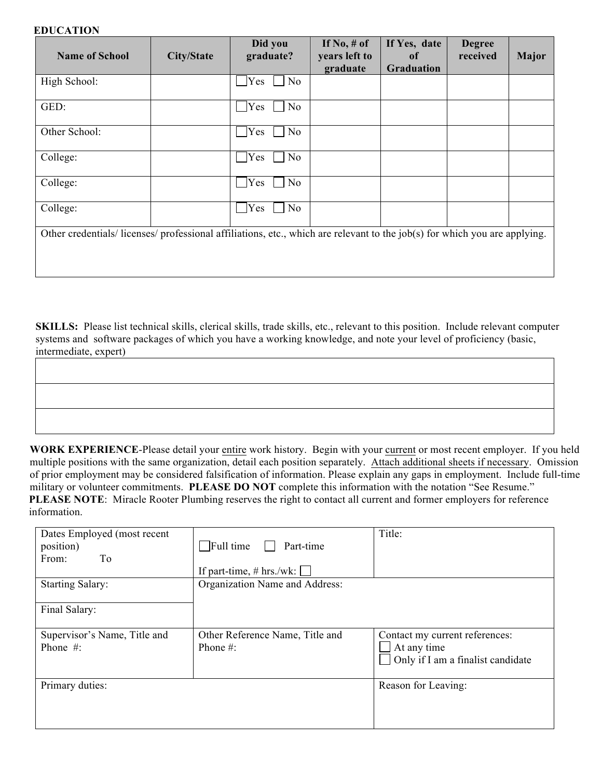## **EDUCATION**

| <b>Name of School</b>                                                                                                    | <b>City/State</b> | Did you<br>graduate?               | If $No, \# of$<br>years left to<br>graduate | If Yes, date<br>of<br>Graduation | <b>Degree</b><br>received | Major |
|--------------------------------------------------------------------------------------------------------------------------|-------------------|------------------------------------|---------------------------------------------|----------------------------------|---------------------------|-------|
| High School:                                                                                                             |                   | $\Box$ No<br>Yes                   |                                             |                                  |                           |       |
| GED:                                                                                                                     |                   | $\overline{\phantom{a}}$ No<br>Yes |                                             |                                  |                           |       |
| Other School:                                                                                                            |                   | $\log$<br>Yes                      |                                             |                                  |                           |       |
| College:                                                                                                                 |                   | Yes<br>$\overline{\rm No}$         |                                             |                                  |                           |       |
| College:                                                                                                                 |                   | Yes<br>No                          |                                             |                                  |                           |       |
| College:                                                                                                                 |                   | Yes<br>N <sub>o</sub>              |                                             |                                  |                           |       |
| Other credentials/licenses/professional affiliations, etc., which are relevant to the job(s) for which you are applying. |                   |                                    |                                             |                                  |                           |       |
|                                                                                                                          |                   |                                    |                                             |                                  |                           |       |

**SKILLS:** Please list technical skills, clerical skills, trade skills, etc., relevant to this position. Include relevant computer systems and software packages of which you have a working knowledge, and note your level of proficiency (basic, intermediate, expert)

**WORK EXPERIENCE**-Please detail your entire work history. Begin with your current or most recent employer. If you held multiple positions with the same organization, detail each position separately. Attach additional sheets if necessary. Omission of prior employment may be considered falsification of information. Please explain any gaps in employment. Include full-time military or volunteer commitments. **PLEASE DO NOT** complete this information with the notation "See Resume." **PLEASE NOTE:** Miracle Rooter Plumbing reserves the right to contact all current and former employers for reference information.

| Dates Employed (most recent<br>position)<br>From:<br>To | $\Box$ Full time<br>Part-time<br>If part-time, $# hrs./wk$ : | Title:                                                                             |
|---------------------------------------------------------|--------------------------------------------------------------|------------------------------------------------------------------------------------|
| <b>Starting Salary:</b>                                 | Organization Name and Address:                               |                                                                                    |
| Final Salary:                                           |                                                              |                                                                                    |
| Supervisor's Name, Title and<br>Phone $#$ :             | Other Reference Name, Title and<br>Phone $#$ :               | Contact my current references:<br>At any time<br>Only if I am a finalist candidate |
| Primary duties:                                         |                                                              | Reason for Leaving:                                                                |